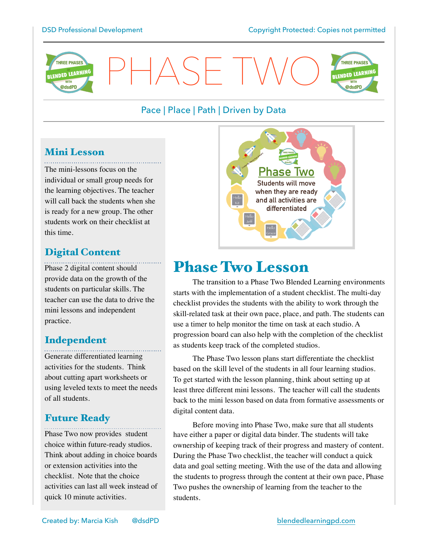THREE PHASES

BLENDED LEARNING

@dsdPD



Pace | Place | Path | Driven by Data

HASE T

### Mini Lesson

The mini-lessons focus on the individual or small group needs for the learning objectives. The teacher will call back the students when she is ready for a new group. The other students work on their checklist at this time.

#### Digital Content

Phase 2 digital content should provide data on the growth of the students on particular skills. The teacher can use the data to drive the mini lessons and independent practice.

#### Independent

Generate differentiated learning activities for the students. Think about cutting apart worksheets or using leveled texts to meet the needs of all students.

#### Future Ready

Phase Two now provides student

choice within future-ready studios. Think about adding in choice boards or extension activities into the checklist. Note that the choice activities can last all week instead of quick 10 minute activities.



### Phase Two Lesson

The transition to a Phase Two Blended Learning environments starts with the implementation of a student checklist. The multi-day checklist provides the students with the ability to work through the skill-related task at their own pace, place, and path. The students can use a timer to help monitor the time on task at each studio. A progression board can also help with the completion of the checklist as students keep track of the completed studios.

The Phase Two lesson plans start differentiate the checklist based on the skill level of the students in all four learning studios. To get started with the lesson planning, think about setting up at least three different mini lessons. The teacher will call the students back to the mini lesson based on data from formative assessments or digital content data.

Before moving into Phase Two, make sure that all students have either a paper or digital data binder. The students will take ownership of keeping track of their progress and mastery of content. During the Phase Two checklist, the teacher will conduct a quick data and goal setting meeting. With the use of the data and allowing the students to progress through the content at their own pace, Phase Two pushes the ownership of learning from the teacher to the students.